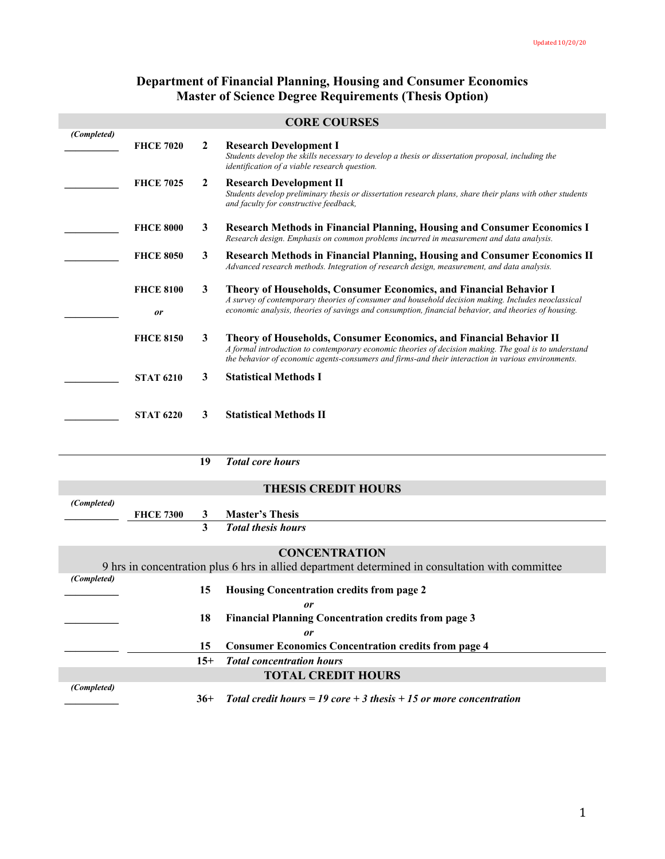# **Department of Financial Planning, Housing and Consumer Economics Master of Science Degree Requirements (Thesis Option)**

|                            |                               |                | <b>CORE COURSES</b>                                                                                                                                                                                                                                                                       |  |
|----------------------------|-------------------------------|----------------|-------------------------------------------------------------------------------------------------------------------------------------------------------------------------------------------------------------------------------------------------------------------------------------------|--|
| (Completed)                |                               |                |                                                                                                                                                                                                                                                                                           |  |
|                            | <b>FHCE 7020</b>              | $\mathbf{2}$   | <b>Research Development I</b><br>Students develop the skills necessary to develop a thesis or dissertation proposal, including the<br>identification of a viable research question.                                                                                                       |  |
|                            | <b>FHCE 7025</b>              | $\overline{2}$ | <b>Research Development II</b><br>Students develop preliminary thesis or dissertation research plans, share their plans with other students<br>and faculty for constructive feedback,                                                                                                     |  |
|                            | <b>FHCE 8000</b>              | 3              | <b>Research Methods in Financial Planning, Housing and Consumer Economics I</b><br>Research design. Emphasis on common problems incurred in measurement and data analysis.                                                                                                                |  |
|                            | <b>FHCE 8050</b>              | 3              | <b>Research Methods in Financial Planning, Housing and Consumer Economics II</b><br>Advanced research methods. Integration of research design, measurement, and data analysis.                                                                                                            |  |
|                            | <b>FHCE 8100</b><br><b>or</b> | 3              | <b>Theory of Households, Consumer Economics, and Financial Behavior I</b><br>A survey of contemporary theories of consumer and household decision making. Includes neoclassical<br>economic analysis, theories of savings and consumption, financial behavior, and theories of housing.   |  |
|                            |                               |                |                                                                                                                                                                                                                                                                                           |  |
|                            | <b>FHCE 8150</b>              | 3              | <b>Theory of Households, Consumer Economics, and Financial Behavior II</b><br>A formal introduction to contemporary economic theories of decision making. The goal is to understand<br>the behavior of economic agents-consumers and firms-and their interaction in various environments. |  |
|                            | <b>STAT 6210</b>              | 3              | <b>Statistical Methods I</b>                                                                                                                                                                                                                                                              |  |
|                            | <b>STAT 6220</b>              | 3              | <b>Statistical Methods II</b>                                                                                                                                                                                                                                                             |  |
|                            |                               | 19             | <b>Total core hours</b>                                                                                                                                                                                                                                                                   |  |
|                            |                               |                |                                                                                                                                                                                                                                                                                           |  |
| <b>THESIS CREDIT HOURS</b> |                               |                |                                                                                                                                                                                                                                                                                           |  |
| (Completed)                | <b>FHCE 7300</b>              | 3              | <b>Master's Thesis</b>                                                                                                                                                                                                                                                                    |  |
|                            |                               | 3              | <b>Total thesis hours</b>                                                                                                                                                                                                                                                                 |  |
|                            |                               |                |                                                                                                                                                                                                                                                                                           |  |

# **CONCENTRATION**

| 9 hrs in concentration plus 6 hrs in allied department determined in consultation with committee |       |                                                                    |
|--------------------------------------------------------------------------------------------------|-------|--------------------------------------------------------------------|
| (Completed)                                                                                      |       |                                                                    |
|                                                                                                  | 15    | Housing Concentration credits from page 2                          |
|                                                                                                  |       | or                                                                 |
|                                                                                                  | 18    | <b>Financial Planning Concentration credits from page 3</b>        |
|                                                                                                  |       | or                                                                 |
|                                                                                                  | 15    | <b>Consumer Economics Concentration credits from page 4</b>        |
|                                                                                                  | $15+$ | <b>Total concentration hours</b>                                   |
|                                                                                                  |       | <b>TOTAL CREDIT HOURS</b>                                          |
| (Completed)                                                                                      |       |                                                                    |
|                                                                                                  | $36+$ | Total credit hours = 19 core + 3 thesis + 15 or more concentration |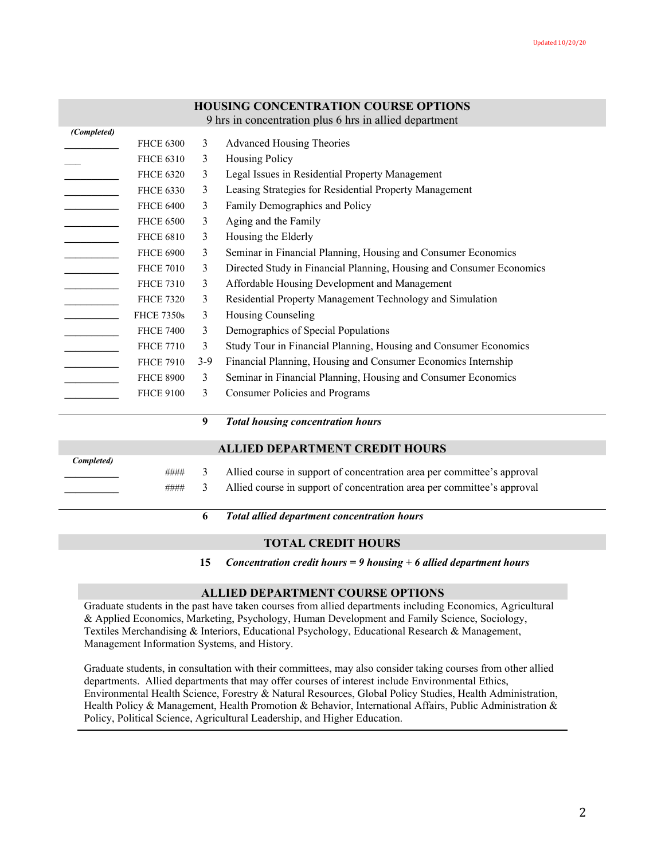### **HOUSING CONCENTRATION COURSE OPTIONS**

9 hrs in concentration plus 6 hrs in allied department

| <b>FHCE 6300</b>  | 3     | <b>Advanced Housing Theories</b>                                     |
|-------------------|-------|----------------------------------------------------------------------|
| <b>FHCE 6310</b>  | 3     | <b>Housing Policy</b>                                                |
| <b>FHCE 6320</b>  | 3     | Legal Issues in Residential Property Management                      |
| <b>FHCE 6330</b>  | 3     | Leasing Strategies for Residential Property Management               |
| <b>FHCE 6400</b>  | 3     | Family Demographics and Policy                                       |
| <b>FHCE 6500</b>  | 3     | Aging and the Family                                                 |
| <b>FHCE 6810</b>  | 3     | Housing the Elderly                                                  |
| <b>FHCE 6900</b>  | 3     | Seminar in Financial Planning, Housing and Consumer Economics        |
| <b>FHCE 7010</b>  | 3     | Directed Study in Financial Planning, Housing and Consumer Economics |
| <b>FHCE 7310</b>  | 3     | Affordable Housing Development and Management                        |
| <b>FHCE 7320</b>  | 3     | Residential Property Management Technology and Simulation            |
| <b>FHCE 7350s</b> | 3     | Housing Counseling                                                   |
| <b>FHCE 7400</b>  | 3     | Demographics of Special Populations                                  |
| <b>FHCE 7710</b>  | 3     | Study Tour in Financial Planning, Housing and Consumer Economics     |
| <b>FHCE 7910</b>  | $3-9$ | Financial Planning, Housing and Consumer Economics Internship        |
| <b>FHCE 8900</b>  | 3     | Seminar in Financial Planning, Housing and Consumer Economics        |
| <b>FHCE 9100</b>  | 3     | Consumer Policies and Programs                                       |
|                   |       |                                                                      |

**9** *Total housing concentration hours*

#### **ALLIED DEPARTMENT CREDIT HOURS**

| Completed) |      |                                                                         |
|------------|------|-------------------------------------------------------------------------|
|            | #### | Allied course in support of concentration area per committee's approval |
|            | #### | Allied course in support of concentration area per committee's approval |
|            |      |                                                                         |

**6** *Total allied department concentration hours*

## **TOTAL CREDIT HOURS**

**15** *Concentration credit hours = 9 housing + 6 allied department hours*

#### **ALLIED DEPARTMENT COURSE OPTIONS**

Graduate students in the past have taken courses from allied departments including Economics, Agricultural & Applied Economics, Marketing, Psychology, Human Development and Family Science, Sociology, Textiles Merchandising & Interiors, Educational Psychology, Educational Research & Management, Management Information Systems, and History.

Graduate students, in consultation with their committees, may also consider taking courses from other allied departments. Allied departments that may offer courses of interest include Environmental Ethics, Environmental Health Science, Forestry & Natural Resources, Global Policy Studies, Health Administration, Health Policy & Management, Health Promotion & Behavior, International Affairs, Public Administration & Policy, Political Science, Agricultural Leadership, and Higher Education.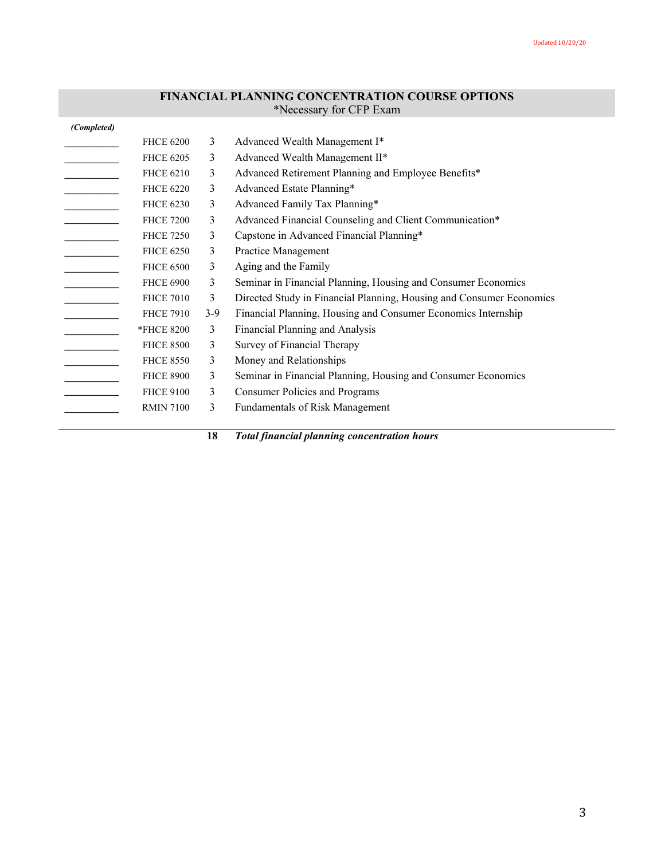## **FINANCIAL PLANNING CONCENTRATION COURSE OPTIONS** \*Necessary for CFP Exam

| <b>FHCE 6200</b> | 3     | Advanced Wealth Management I*                                        |
|------------------|-------|----------------------------------------------------------------------|
| <b>FHCE 6205</b> | 3     | Advanced Wealth Management II*                                       |
| <b>FHCE 6210</b> | 3     | Advanced Retirement Planning and Employee Benefits*                  |
| <b>FHCE 6220</b> | 3     | Advanced Estate Planning*                                            |
| <b>FHCE 6230</b> | 3     | Advanced Family Tax Planning*                                        |
| <b>FHCE 7200</b> | 3     | Advanced Financial Counseling and Client Communication*              |
| <b>FHCE 7250</b> | 3     | Capstone in Advanced Financial Planning*                             |
| <b>FHCE 6250</b> | 3     | Practice Management                                                  |
| <b>FHCE 6500</b> | 3     | Aging and the Family                                                 |
| <b>FHCE 6900</b> | 3     | Seminar in Financial Planning, Housing and Consumer Economics        |
| <b>FHCE 7010</b> | 3     | Directed Study in Financial Planning, Housing and Consumer Economics |
| <b>FHCE 7910</b> | $3-9$ | Financial Planning, Housing and Consumer Economics Internship        |
| *FHCE 8200       | 3     | Financial Planning and Analysis                                      |
| <b>FHCE 8500</b> | 3     | Survey of Financial Therapy                                          |
| <b>FHCE 8550</b> | 3     | Money and Relationships                                              |
| <b>FHCE 8900</b> | 3     | Seminar in Financial Planning, Housing and Consumer Economics        |
| <b>FHCE 9100</b> | 3     | <b>Consumer Policies and Programs</b>                                |
| <b>RMIN 7100</b> | 3     | Fundamentals of Risk Management                                      |
|                  |       |                                                                      |

**18** *Total financial planning concentration hours*